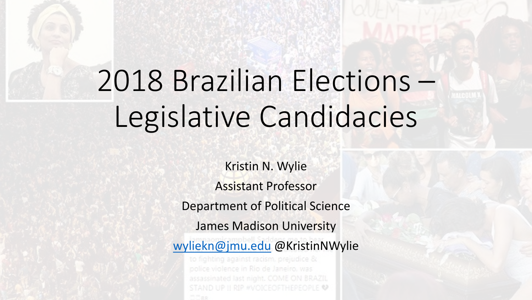# 2018 Brazilian Elections – Legislative Candidacies

Kristin N. Wylie

Assistant Professor

Department of Political Science

James Madison University

[wyliekn@jmu.edu](mailto:wyliekn@jmu.edu) @KristinNWylie

to fighting against racism, prejudice & police violence in Rio de Janeiro, was STAND UP II RIP #VOICEOFTHEPEOPLE V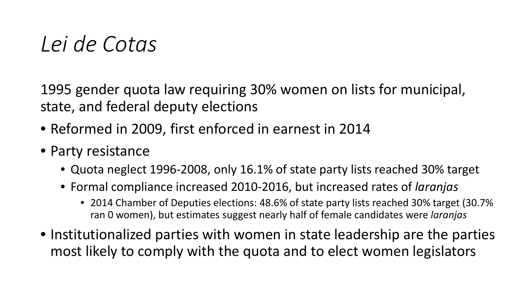### *Lei de Cotas*

1995 gender quota law requiring 30% women on lists for municipal, state, and federal deputy elections

- Reformed in 2009, first enforced in earnest in 2014
- Party resistance
	- Quota neglect 1996-2008, only 16.1% of state party lists reached 30% target
	- Formal compliance increased 2010-2016, but increased rates of *laranjas*
		- 2014 Chamber of Deputies elections: 48.6% of state party lists reached 30% target (30.7% ran 0 women), but estimates suggest nearly half of female candidates were *laranjas*
- Institutionalized parties with women in state leadership are the parties most likely to comply with the quota and to elect women legislators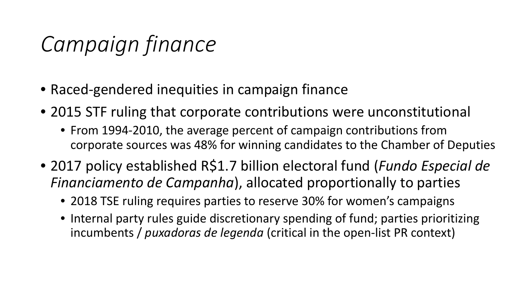## *Campaign finance*

- Raced-gendered inequities in campaign finance
- 2015 STF ruling that corporate contributions were unconstitutional
	- From 1994-2010, the average percent of campaign contributions from corporate sources was 48% for winning candidates to the Chamber of Deputies
- 2017 policy established R\$1.7 billion electoral fund (*Fundo Especial de Financiamento de Campanha*), allocated proportionally to parties
	- 2018 TSE ruling requires parties to reserve 30% for women's campaigns
	- Internal party rules guide discretionary spending of fund; parties prioritizing incumbents / *puxadoras de legenda* (critical in the open-list PR context)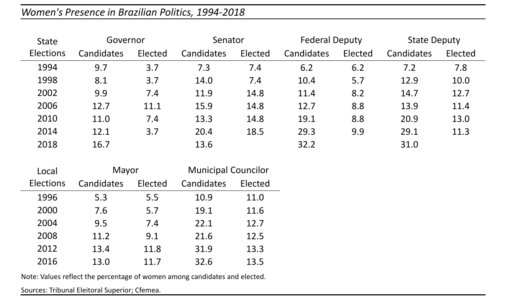### *Women's Presence in Brazilian Politics, 1994-2018*

| <b>State</b>     | Governor   |         | Senator    |         | <b>Federal Deputy</b> |         | <b>State Deputy</b> |         |
|------------------|------------|---------|------------|---------|-----------------------|---------|---------------------|---------|
| <b>Elections</b> | Candidates | Elected | Candidates | Elected | Candidates            | Elected | Candidates          | Elected |
| 1994             | 9.7        | 3.7     | 7.3        | 7.4     | 6.2                   | 6.2     | 7.2                 | 7.8     |
| 1998             | 8.1        | 3.7     | 14.0       | 7.4     | 10.4                  | 5.7     | 12.9                | 10.0    |
| 2002             | 9.9        | 7.4     | 11.9       | 14.8    | 11.4                  | 8.2     | 14.7                | 12.7    |
| 2006             | 12.7       | 11.1    | 15.9       | 14.8    | 12.7                  | 8.8     | 13.9                | 11.4    |
| 2010             | 11.0       | 7.4     | 13.3       | 14.8    | 19.1                  | 8.8     | 20.9                | 13.0    |
| 2014             | 12.1       | 3.7     | 20.4       | 18.5    | 29.3                  | 9.9     | 29.1                | 11.3    |
| 2018             | 16.7       |         | 13.6       |         | 32.2                  |         | 31.0                |         |

| Local     | Mayor      |         | <b>Municipal Councilor</b> |         |  |
|-----------|------------|---------|----------------------------|---------|--|
| Elections | Candidates | Elected | Candidates                 | Elected |  |
| 1996      | 5.3        | 5.5     | 10.9                       | 11.0    |  |
| 2000      | 7.6        | 5.7     | 19.1                       | 11.6    |  |
| 2004      | 9.5        | 7.4     | 22.1                       | 12.7    |  |
| 2008      | 11.2       | 9.1     | 21.6                       | 12.5    |  |
| 2012      | 13.4       | 11.8    | 31.9                       | 13.3    |  |
| 2016      | 13.0       | 11.7    | 32.6                       | 13.5    |  |

Note: Values reflect the percentage of women among candidates and elected.

Sources: Tribunal Eleitoral Superior; Cfemea.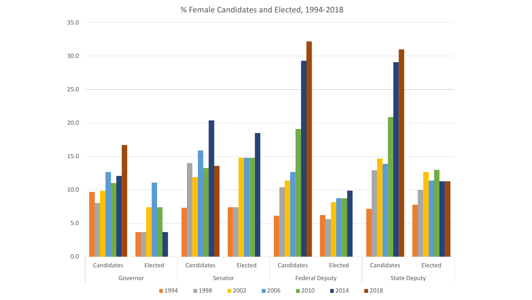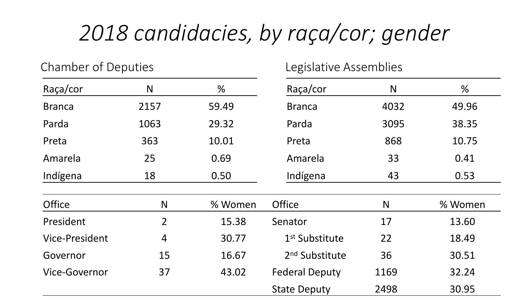## *2018 candidacies, by raça/cor; gender*

Chamber of Deputies

Legislative Assemblies

| Raça/cor              | N              | $\frac{0}{0}$ | Raça/cor                   | N    | %       |
|-----------------------|----------------|---------------|----------------------------|------|---------|
| <b>Branca</b>         | 2157           | 59.49         | <b>Branca</b>              | 4032 | 49.96   |
| Parda                 | 1063           | 29.32         | Parda                      | 3095 | 38.35   |
| Preta                 | 363            | 10.01         | Preta                      | 868  | 10.75   |
| Amarela               | 25             | 0.69          | Amarela                    | 33   | 0.41    |
| Indígena              | 18             | 0.50          | Indígena                   | 43   | 0.53    |
| <b>Office</b>         | N              | % Women       | <b>Office</b>              | N    | % Women |
| President             | $\overline{2}$ | 15.38         | Senator                    | 17   | 13.60   |
| <b>Vice-President</b> | $\overline{4}$ | 30.77         | 1 <sup>st</sup> Substitute | 22   | 18.49   |
| Governor              | 15             | 16.67         | 2 <sup>nd</sup> Substitute | 36   | 30.51   |
| Vice-Governor         | 37             | 43.02         | <b>Federal Deputy</b>      | 1169 | 32.24   |
|                       |                |               | <b>State Deputy</b>        | 2498 | 30.95   |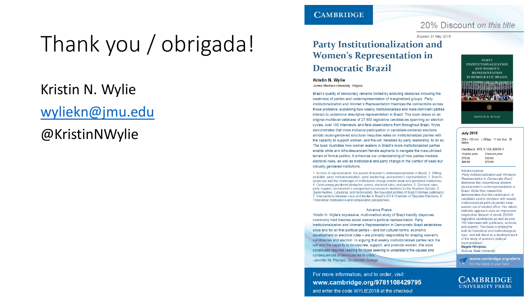## Thank you / obrigada!

### Kristin N. Wylie [wyliekn@jmu.edu](mailto:wyliekn@jmu.edu)

@KristinNWylie

#### **CAMBRIDGE**

### 20% Discount on this title

Expires 31 May 2019

### **Party Institutionalization and Women's Representation in Democratic Brazil**

#### **Kristin N. Wylie**

James Madison University, Virginia

Brazil's quality of democracy remains limited by enduring obstacles including the weakness of parties and underrepresentation of marginalized groups. Party Institutionalization and Women's Representation theorizes the connections across those problems, explaining how weakly institutionalized and male-dominant parties interact to undermine descriptive representation in Brazil. This book draws on an original multilevel database of 27,653 legislative candidacies spanning six election cycles, over 100 interviews, and field observations from throughout Brazil. Wylie demonstrates that more inclusive participation in candidate-centered elections amidst raced-gendered structural inequities relies on institutionalized parties with the capacity to support women, and the will, heralded by party leadership, to do so. The book illustrates how women leaders in Brazil's more institutionalized parties enable white and Afro-descendant female aspirants to navigate the masculinized terrain of formal politics. It enhances our understanding of how parties mediate electoral rules, as well as institutional and party change in the context of weak but robustly gendered institutions.

1. A crisis of representation: the puzzle of women's underrepresentation in Brazil; 2. Willing and able: party institutionalization, party leadership, and women's representation; 3. Brazil's quota law and the challenges of institutional change amidst weak and gendered institutions; 4. Overcoming gendered obstacles: voters, electoral rules, and parties; 5. Electoral rules, party support, and women's unexpected successes in elections to the Brazilian Senate; 6. Supermadres, Lutadoras, and technocrats; the bounded profiles of Brazil's female politicians; 7. Intersections between race and fender in Brazil's 2014 Chamber of Deputies Elections; 8. Theoretical implications and comparative perspectives.

#### **Advance Praise**

'Kristin N. Wylie's impressive, multi-method study of Brazil handily disproves commonly held theories about women's political representation. Party Institutionalization and Women's Representation in Democratic Brazil establishes once and for all that political parties - and not cultural norms, economic development or electoral rules - are primarily responsible for shaping women's candidacies and election. In arguing that weakly institutionalized parties lack the will and the capacity to incorporate, support, and promote women, this book constitutes required reading for those seeking to understand the causes and consequences of democracies in crisis." -Jennifer M. Piscopo, Occidental College

For more information, and to order, visit: www.cambridge.org/9781108429795 and enter the code WYLIE2018 at the checkout



**KRISTIN N. WYLIE** 

#### **July 2018**

228 x 152 mm c.280pp 11 b/w illus. 26 tables

| Hardback 978-1-108-42979-5 |
|----------------------------|
| <b>Discount price</b>      |
| £60.00                     |
| \$79.99                    |
|                            |

#### Advance praise:

'Party Institutionalization and Women's Representation in Democratic Brazil dismisses the conventional wisdom about women's underrepresentation in Brazil. Wylie then masterfully demonstrates that the combination of candidate-centric elections with weakly institutionalized political parties keep women out of elected office. Her mixedmethods approach uses an impressive longitudinal dataset of nearly 28,000 legislative candidacies as well as over 100 interviews with politicians, activists, and experts. This book is striking for both its theoretical and methodological rigor, and will stand as a landmark work in the study of women's political representation. Magda Hinojosa, Arizona State University

www.cambridge.org/alerts For the latest in your field

**CAMBRIDGE UNIVERSITY PRESS**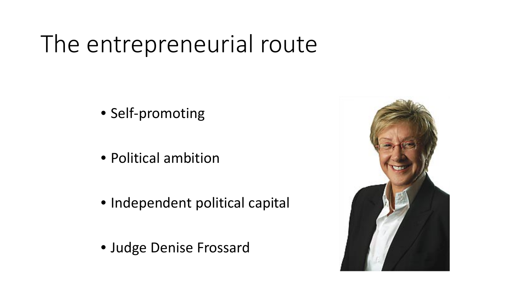## The entrepreneurial route

- Self-promoting
- Political ambition
- Independent political capital
- Judge Denise Frossard

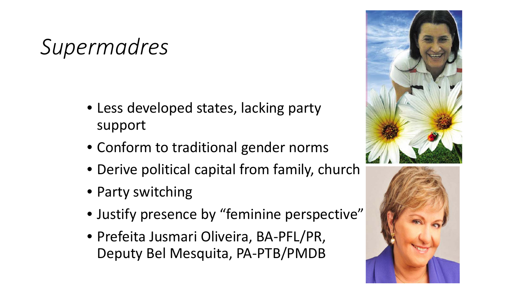### *Supermadres*

- Less developed states, lacking party support
- Conform to traditional gender norms
- Derive political capital from family, church
- Party switching
- Justify presence by "feminine perspective"
- Prefeita Jusmari Oliveira, BA-PFL/PR, Deputy Bel Mesquita, PA-PTB/PMDB



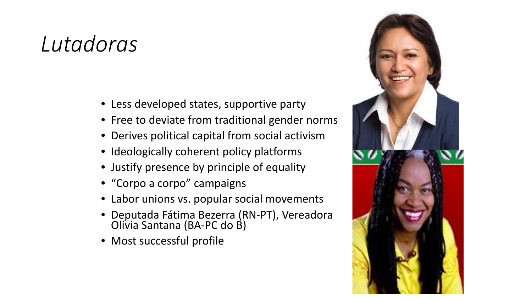### *Lutadoras*

- Less developed states, supportive party
- Free to deviate from traditional gender norms
- Derives political capital from social activism
- Ideologically coherent policy platforms
- Justify presence by principle of equality
- "Corpo a corpo" campaigns
- Labor unions vs. popular social movements
- Deputada Fátima Bezerra (RN-PT), Vereadora Olívia Santana (BA-PC do B)
- Most successful profile

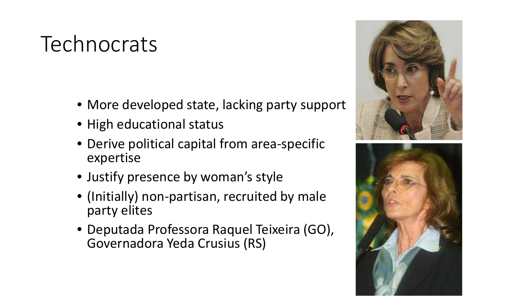### **Technocrats**

- More developed state, lacking party support
- High educational status
- Derive political capital from area-specific expertise
- Justify presence by woman's style
- (Initially) non-partisan, recruited by male party elites
- Deputada Professora Raquel Teixeira (GO), Governadora Yeda Crusius (RS)